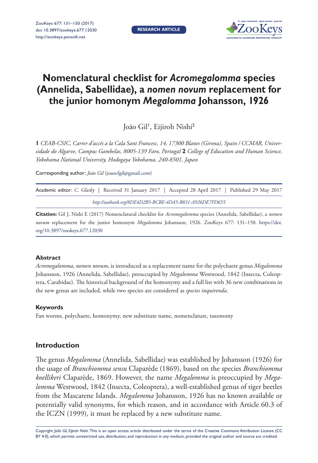**RESEARCH ARTICLE**



# **Nomenclatural checklist for** *Acromegalomma* **species (Annelida, Sabellidae), a** *nomen novum* **replacement for the junior homonym** *Megalomma* **Johansson, 1926**

João Gil<sup>ı</sup>, Eijiroh Nishi<sup>2</sup>

**1** *CEAB-CSIC, Carrer d'accés a la Cala Sant Francesc, 14, 17300 Blanes (Girona), Spain / CCMAR, Universidade do Algarve, Campus Gambelas, 8005-139 Faro, Portugal* **2** *College of Education and Human Science, Yokohama National University, Hodogaya Yokohama, 240-8501, Japan*

Corresponding author: *João Gil* ([joaocfgil@gmail.com](mailto:joaocfgil@gmail.com))

| Academic editor: C. Glasby Received 31 January 2017   Accepted 28 April 2017   Published 29 May 2017 |  |  |  |  |  |  |  |
|------------------------------------------------------------------------------------------------------|--|--|--|--|--|--|--|
| http://zoobank.org/8DE4D2B5-BCBE-4DA5-B831-A926DE7FD655                                              |  |  |  |  |  |  |  |

**Citation:** Gil J, Nishi E (2017) Nomenclatural checklist for *Acromegalomma* species (Annelida, Sabellidae), a *nomen novum* replacement for the junior homonym *Megalomma* Johansson, 1926. ZooKeys 677: 131–150. [https://doi.](https://doi.org/10.3897/zookeys.677.12030) [org/10.3897/zookeys.677.12030](https://doi.org/10.3897/zookeys.677.12030)

#### **Abstract**

*Acromegalomma*, *nomen novum*, is introduced as a replacement name for the polychaete genus *Megalomma* Johansson, 1926 (Annelida, Sabellidae), preoccupied by *Megalomma* Westwood, 1842 (Insecta, Coleoptera, Carabidae). The historical background of the homonymy and a full list with 36 new combinations in the new genus are included, while two species are considered as *species inquirenda*.

## **Keywords**

Fan worms, polychaete, homonymy, new substitute name, nomenclature, taxonomy

## **Introduction**

The genus *Megalomma* (Annelida, Sabellidae) was established by Johansson (1926) for the usage of *Branchiomma sensu* Claparède (1869), based on the species *Branchiomma koellikeri* Claparède, 1869. However, the name *Megalomma* is preoccupied by *Megalomma* Westwood, 1842 (Insecta, Coleoptera), a well-established genus of tiger beetles from the Mascarene Islands. *Megalomma* Johansson, 1926 has no known available or potentially valid synonyms, for which reason, and in accordance with Article 60.3 of the ICZN (1999), it must be replaced by a new substitute name.

Copyright *João Gil, Eijiroh Nishi.* This is an open access article distributed under the terms of the [Creative Commons Attribution License \(CC](http://creativecommons.org/licenses/by/4.0/)  [BY 4.0\)](http://creativecommons.org/licenses/by/4.0/), which permits unrestricted use, distribution, and reproduction in any medium, provided the original author and source are credited.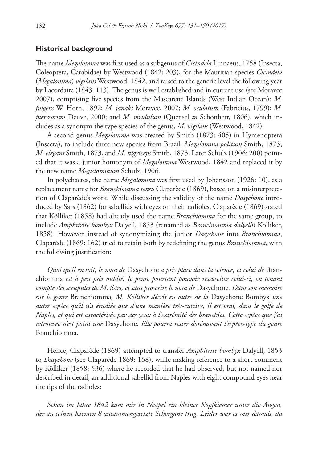### **Historical background**

The name *Megalomma* was first used as a subgenus of *Cicindela* Linnaeus, 1758 (Insecta, Coleoptera, Carabidae) by Westwood (1842: 203), for the Mauritian species *Cicindela*  (*Megalomma*) *vigilans* Westwood, 1842, and raised to the generic level the following year by Lacordaire (1843: 113). The genus is well established and in current use (see Moravec 2007), comprising five species from the Mascarene Islands (West Indian Ocean): *M. fulgens* W. Horn, 1892; *M. janaki* Moravec, 2007; *M. oculatum* (Fabricius, 1799); *M. pierreorum* Deuve, 2000; and *M. viridulum* (Quensel *in* Schönherr, 1806), which includes as a synonym the type species of the genus, *M. vigilans* (Westwood, 1842).

A second genus *Megalomma* was created by Smith (1873: 405) in Hymenoptera (Insecta), to include three new species from Brazil: *Megalomma politum* Smith, 1873, *M. elegans* Smith, 1873, and *M. nigriceps* Smith, 1873. Later Schulz (1906: 200) pointed that it was a junior homonym of *Megalomma* Westwood, 1842 and replaced it by the new name *Megistommum* Schulz, 1906.

In polychaetes, the name *Megalomma* was first used by Johansson (1926: 10), as a replacement name for *Branchiomma sensu* Claparède (1869), based on a misinterpretation of Claparède's work. While discussing the validity of the name *Dasychone* introduced by Sars (1862) for sabellids with eyes on their radioles, Claparède (1869) stated that Kölliker (1858) had already used the name *Branchiomma* for the same group, to include *Amphitrite bombyx* Dalyell, 1853 (renamed as *Branchiomma dalyellii* Kölliker, 1858). However, instead of synonymizing the junior *Dasychone* into *Branchiomma*, Claparède (1869: 162) tried to retain both by redefining the genus *Branchiomma*, with the following justification:

*Quoi qu'il en soit, le nom de* Dasychone *a pris place dans la science, et celui de* Branchiomma *est à peu près oublié. Je pense pourtant pouvoir ressusciter celui-ci, en tenant compte des scrupules de M. Sars, et sans proscrire le nom de* Dasychone*. Dans son mémoire sur le genre* Branchiomma*, M. Kölliker décrit en outre de la* Dasychone Bombyx *une autre espèce qu'il n'a étudiée que d'une manière très-cursive, il est vrai, dans le golfe de Naples, et qui est caractérisée par des yeux à l'extrémité des branchies. Cette espèce que j'ai retrouvée n'est point une* Dasychone*. Elle pourra rester dorénavant l'espèce-type du genre*  Branchiomma*.*

Hence, Claparède (1869) attempted to transfer *Amphitrite bombyx* Dalyell, 1853 to *Dasychone* (see Claparède 1869: 168), while making reference to a short comment by Kölliker (1858: 536) where he recorded that he had observed, but not named nor described in detail, an additional sabellid from Naples with eight compound eyes near the tips of the radioles:

*Schon im Jahre 1842 kam mir in Neapel ein kleiner Kopfkiemer unter die Augen, der an seinen Kiemen 8 zusammengesetzte Sehorgane trug. Leider war es mir damals, da*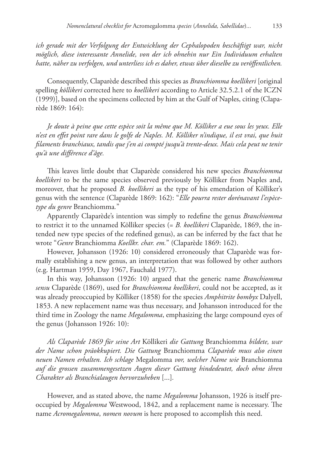*ich gerade mit der Verfolgung der Entwicklung der Cephalopoden beschäftigt war, nicht möglich, diese interessante Annelide, von der ich ohnehin nur Ein Individuum erhalten hatte, näher zu verfolgen, und unterliess ich es daher, etwas über dieselbe zu veröffentlichen.*

Consequently, Claparède described this species as *Branchiomma koellikeri* [original spelling *köllikeri* corrected here to *koellikeri* according to Article 32.5.2.1 of the ICZN (1999)], based on the specimens collected by him at the Gulf of Naples, citing (Claparède 1869: 164):

*Je doute à peine que cette espèce soit la même que M. Kölliker a eue sous les yeux. Elle n'est en effet point rare dans le golfe de Naples. M. Kölliker n'indique, il est vrai, que huit filaments branchiaux, tandis que j'en ai compté jusqu'à trente-deux. Mais cela peut ne tenir qu'à une différence d'âge.*

This leaves little doubt that Claparède considered his new species *Branchiomma koellikeri* to be the same species observed previously by Kölliker from Naples and, moreover, that he proposed *B. koellikeri* as the type of his emendation of Kölliker's genus with the sentence (Claparède 1869: 162): "*Elle pourra rester dorénavant l'espècetype du genre* Branchiomma*.*"

Apparently Claparède's intention was simply to redefine the genus *Branchiomma* to restrict it to the unnamed Kölliker species (= *B. koellikeri* Claparède, 1869, the intended new type species of the redefined genus), as can be inferred by the fact that he wrote "*Genre* Branchiomma *Koellkr. char. em.*" (Claparède 1869: 162).

However, Johansson (1926: 10) considered erroneously that Claparède was formally establishing a new genus, an interpretation that was followed by other authors (e.g. Hartman 1959, Day 1967, Fauchald 1977).

In this way, Johansson (1926: 10) argued that the generic name *Branchiomma sensu* Claparède (1869), used for *Branchiomma koellikeri*, could not be accepted, as it was already preoccupied by Kölliker (1858) for the species *Amphitrite bombyx* Dalyell, 1853. A new replacement name was thus necessary, and Johansson introduced for the third time in Zoology the name *Megalomma*, emphasizing the large compound eyes of the genus (Johansson 1926: 10):

*Als Claparède 1869 für seine Art* Köllikeri *die Gattung* Branchiomma *bildete, war der Name schon präokkupiert. Die Gattung* Branchiomma *Claparède muss also einen neuen Namen erhalten. Ich schlage* Megalomma *vor, welcher Name wie* Branchiomma *auf die grossen zusammengesetzen Augen dieser Gattung hindedeutet, doch ohne ihren Charakter als Branchialaugen hervorzuheben* [...]*.*

However, and as stated above, the name *Megalomma* Johansson, 1926 is itself preoccupied by *Megalomma* Westwood, 1842, and a replacement name is necessary. The name *Acromegalomma*, *nomen novum* is here proposed to accomplish this need.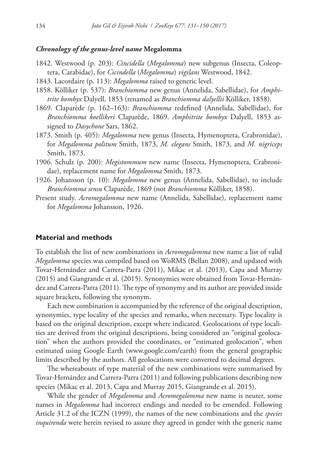### *Chronology of the genus-level name* **Megalomma**

- 1842. Westwood (p. 203): *Cincidella* (*Megalomma*) new subgenus (Insecta, Coleoptera, Carabidae), for *Cicindella* (*Megalomma*) *vigilans* Westwood, 1842.
- 1843. Lacordaire (p. 113): *Megalomma* raised to generic level.
- 1858. Kölliker (p. 537): *Branchiomma* new genus (Annelida, Sabellidae), for *Amphitrite bombyx* Dalyell, 1853 (renamed as *Branchiomma dalyellii* Kölliker, 1858).
- 1869. Claparède (p. 162–163): *Branchiomma* redefined (Annelida, Sabellidae), for *Branchiomma koellikeri* Claparède, 1869. *Amphitrite bombyx* Dalyell, 1853 assigned to *Dasychone* Sars, 1862.
- 1873. Smith (p. 405): *Megalomma* new genus (Insecta, Hymenoptera, Crabronidae), for *Megalomma politum* Smith, 1873, *M. elegans* Smith, 1873, and *M. nigriceps* Smith, 1873.
- 1906. Schulz (p. 200): *Megistommum* new name (Insecta, Hymenoptera, Crabronidae), replacement name for *Megalomma* Smith, 1873.
- 1926. Johansson (p. 10): *Megalomma* new genus (Annelida, Sabellidae), to include *Branchiomma sensu* Claparède, 1869 (not *Branchiomma* Kölliker, 1858).
- Present study. *Acromegalomma* new name (Annelida, Sabellidae), replacement name for *Megalomma* Johansson, 1926.

#### **Material and methods**

To establish the list of new combinations in *Acromegalomma* new name a list of valid *Megalomma* species was compiled based on WoRMS (Bellan 2008), and updated with Tovar-Hernández and Carrera-Parra (2011), Mikac et al. (2013), Capa and Murray (2015) and Giangrande et al. (2015). Synonymies were obtained from Tovar-Hernández and Carrera-Parra (2011). The type of synonymy and its author are provided inside square brackets, following the synonym.

Each new combination is accompanied by the reference of the original description, synonymies, type locality of the species and remarks, when necessary. Type locality is based on the original description, except where indicated. Geolocations of type localities are derived from the original descriptions, being considered an "original geolocation" when the authors provided the coordinates, or "estimated geolocation", when estimated using Google Earth ([www.google.com/earth](http://www.google.com/earth)) from the general geographic limits described by the authors. All geolocations were converted to decimal degrees.

The whereabouts of type material of the new combinations were summarised by Tovar-Hernández and Carrera-Parra (2011) and following publications describing new species (Mikac et al. 2013, Capa and Murray 2015, Giangrande et al. 2015).

While the gender of *Megalomma* and *Acromegalomma* new name is neuter, some names in *Megalomma* had incorrect endings and needed to be emended. Following Article 31.2 of the ICZN (1999), the names of the new combinations and the *species inquirenda* were herein revised to assure they agreed in gender with the generic name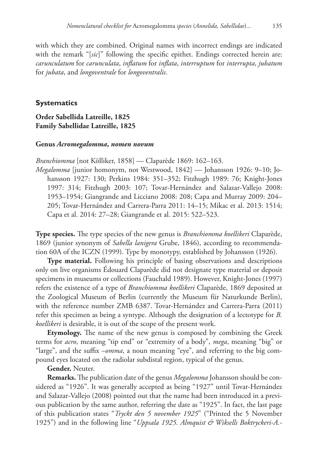with which they are combined. Original names with incorrect endings are indicated with the remark "[sic]" following the specific epithet. Endings corrected herein are: *carunculatum* for *carunculata*, *inflatum* for *inflata*, *interruptum* for *interrupta*, *jubatum* for *jubata*, and *longoventrale* for *longoventralis*.

### **Systematics**

## **Order Sabellida Latreille, 1825 Family Sabellidae Latreille, 1825**

#### **Genus** *Acromegalomma***,** *nomen novum*

*Branchiomma* [not Kölliker, 1858] — Claparède 1869: 162–163.

*Megalomma* [junior homonym, not Westwood, 1842] — Johansson 1926: 9–10; Johansson 1927: 130; Perkins 1984: 351–352; Fitzhugh 1989: 76; Knight-Jones 1997: 314; Fitzhugh 2003: 107; Tovar-Hernández and Salazar-Vallejo 2008: 1953–1954; Giangrande and Licciano 2008: 208; Capa and Murray 2009: 204– 205; Tovar-Hernández and Carrera-Parra 2011: 14–15; Mikac et al. 2013: 1514; Capa et al. 2014: 27–28; Giangrande et al. 2015: 522–523.

**Type species.** The type species of the new genus is *Branchiomma koellikeri* Claparède, 1869 (junior synonym of *Sabella lanigera* Grube, 1846), according to recommendation 60A of the ICZN (1999). Type by monotypy, established by Johansson (1926).

**Type material.** Following his principle of basing observations and descriptions only on live organisms Édouard Claparède did not designate type material or deposit specimens in museums or collections (Fauchald 1989). However, Knight-Jones (1997) refers the existence of a type of *Branchiomma koellikeri* Claparède, 1869 deposited at the Zoological Museum of Berlin (currently the Museum für Naturkunde Berlin), with the reference number ZMB 6387. Tovar-Hernández and Carrera-Parra (2011) refer this specimen as being a syntype. Although the designation of a lectotype for *B. koellikeri* is desirable, it is out of the scope of the present work.

**Etymology.** The name of the new genus is composed by combining the Greek terms for *acro*, meaning "tip end" or "extremity of a body", *mega*, meaning "big" or "large", and the suffix –*omma*, a noun meaning "eye", and referring to the big compound eyes located on the radiolar subdistal region, typical of the genus.

#### **Gender.** Neuter.

**Remarks.** The publication date of the genus *Megalomma* Johansson should be considered as "1926". It was generally accepted as being "1927" until Tovar-Hernández and Salazar-Vallejo (2008) pointed out that the name had been introduced in a previous publication by the same author, referring the date as "1925". In fact, the last page of this publication states "*Tryckt den 5 november 1925*" ("Printed the 5 November 1925") and in the following line "*Uppsala 1925. Almquist & Wiksells Boktryckeri-A.-*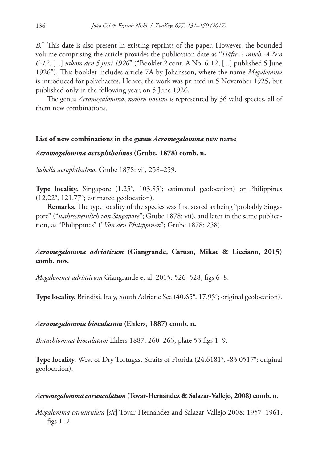*B.*" This date is also present in existing reprints of the paper. However, the bounded volume comprising the article provides the publication date as "*Häfte 2 inneh. A N:o 6-12,* [...] *utkom den 5 juni 1926*" ("Booklet 2 cont. A No. 6-12, [...] published 5 June 1926"). This booklet includes article 7A by Johansson, where the name *Megalomma* is introduced for polychaetes. Hence, the work was printed in 5 November 1925, but published only in the following year, on 5 June 1926.

The genus *Acromegalomma*, *nomen novum* is represented by 36 valid species, all of them new combinations.

#### **List of new combinations in the genus** *Acromegalomma* **new name**

## *Acromegalomma acrophthalmos* **(Grube, 1878) comb. n.**

*Sabella acrophthalmos* Grube 1878: vii, 258–259.

**Type locality.** Singapore (1.25°, 103.85°; estimated geolocation) or Philippines (12.22°, 121.77°; estimated geolocation).

**Remarks.** The type locality of the species was first stated as being "probably Singapore" ("*wahrscheinlich von Singapore*"; Grube 1878: vii), and later in the same publication, as "Philippines" ("*Von den Philippinen*"; Grube 1878: 258).

## *Acromegalomma adriaticum* **(Giangrande, Caruso, Mikac & Licciano, 2015) comb. nov.**

*Megalomma adriaticum* Giangrande et al. 2015: 526–528, figs 6–8.

**Type locality.** Brindisi, Italy, South Adriatic Sea (40.65°, 17.95°; original geolocation).

#### *Acromegalomma bioculatum* **(Ehlers, 1887) comb. n.**

*Branchiomma bioculatum* Ehlers 1887: 260–263, plate 53 figs 1–9.

**Type locality.** West of Dry Tortugas, Straits of Florida (24.6181°, -83.0517°; original geolocation).

#### *Acromegalomma carunculatum* **(Tovar-Hernández & Salazar-Vallejo, 2008) comb. n.**

*Megalomma carunculata* [*sic*] Tovar-Hernández and Salazar-Vallejo 2008: 1957–1961, figs 1–2.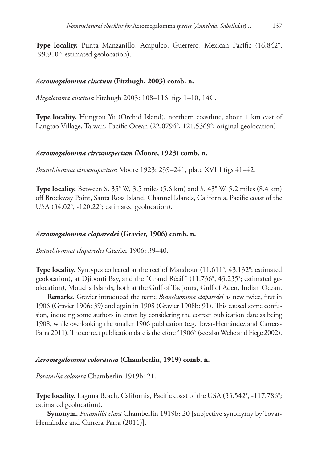**Type locality.** Punta Manzanillo, Acapulco, Guerrero, Mexican Pacific (16.842°, -99.910°; estimated geolocation).

### *Acromegalomma cinctum* **(Fitzhugh, 2003) comb. n.**

*Megalomma cinctum* Fitzhugh 2003: 108–116, figs 1–10, 14C.

**Type locality.** Hungtou Yu (Orchid Island), northern coastline, about 1 km east of Langtao Village, Taiwan, Pacific Ocean (22.0794°, 121.5369°; original geolocation).

### *Acromegalomma circumspectum* **(Moore, 1923) comb. n.**

*Branchiomma circumspectum* Moore 1923: 239–241, plate XVIII figs 41–42.

**Type locality.** Between S. 35° W, 3.5 miles (5.6 km) and S. 43° W, 5.2 miles (8.4 km) off Brockway Point, Santa Rosa Island, Channel Islands, California, Pacific coast of the USA (34.02°, -120.22°; estimated geolocation).

## *Acromegalomma claparedei* **(Gravier, 1906) comb. n.**

*Branchiomma claparedei* Gravier 1906: 39–40.

**Type locality.** Syntypes collected at the reef of Marabout (11.611°, 43.132°; estimated geolocation), at Djibouti Bay, and the "Grand Récif" (11.736°, 43.235°; estimated geolocation), Moucha Islands, both at the Gulf of Tadjoura, Gulf of Aden, Indian Ocean.

**Remarks.** Gravier introduced the name *Branchiomma claparedei* as new twice, first in 1906 (Gravier 1906: 39) and again in 1908 (Gravier 1908b: 91). This caused some confusion, inducing some authors in error, by considering the correct publication date as being 1908, while overlooking the smaller 1906 publication (e.g. Tovar-Hernández and Carrera-Parra 2011). The correct publication date is therefore "1906" (see also Wehe and Fiege 2002).

#### *Acromegalomma coloratum* **(Chamberlin, 1919) comb. n.**

*Potamilla colorata* Chamberlin 1919b: 21.

**Type locality.** Laguna Beach, California, Pacific coast of the USA (33.542°, -117.786°; estimated geolocation).

**Synonym.** *Potamilla clara* Chamberlin 1919b: 20 [subjective synonymy by Tovar-Hernández and Carrera-Parra (2011)].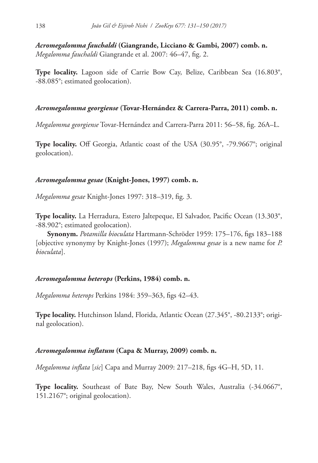*Acromegalomma fauchaldi* **(Giangrande, Licciano & Gambi, 2007) comb. n.** *Megalomma fauchaldi* Giangrande et al. 2007: 46–47, fig. 2.

**Type locality.** Lagoon side of Carrie Bow Cay, Belize, Caribbean Sea (16.803°, -88.085°; estimated geolocation).

### *Acromegalomma georgiense* **(Tovar-Hernández & Carrera-Parra, 2011) comb. n.**

*Megalomma georgiense* Tovar-Hernández and Carrera-Parra 2011: 56–58, fig. 26A–L.

**Type locality.** Off Georgia, Atlantic coast of the USA (30.95°, -79.9667°; original geolocation).

### *Acromegalomma gesae* **(Knight-Jones, 1997) comb. n.**

*Megalomma gesae* Knight-Jones 1997: 318–319, fig. 3.

**Type locality.** La Herradura, Estero Jaltepeque, El Salvador, Pacific Ocean (13.303°, -88.902°; estimated geolocation).

**Synonym.** *Potamilla bioculata* Hartmann-Schröder 1959: 175–176, figs 183–188 [objective synonymy by Knight-Jones (1997); *Megalomma gesae* is a new name for *P. bioculata*].

#### *Acromegalomma heterops* **(Perkins, 1984) comb. n.**

*Megalomma heterops* Perkins 1984: 359–363, figs 42–43.

**Type locality.** Hutchinson Island, Florida, Atlantic Ocean (27.345°, -80.2133°; original geolocation).

#### *Acromegalomma inflatum* **(Capa & Murray, 2009) comb. n.**

*Megalomma inflata* [*sic*] Capa and Murray 2009: 217–218, figs 4G–H, 5D, 11.

Type locality. Southeast of Bate Bay, New South Wales, Australia (-34.0667°, 151.2167°; original geolocation).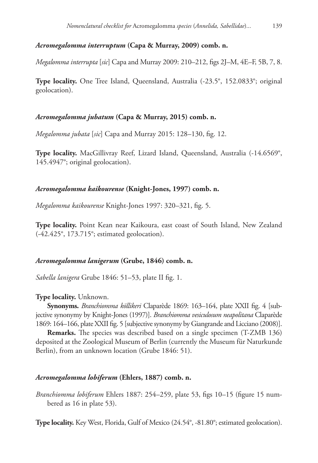## *Acromegalomma interruptum* **(Capa & Murray, 2009) comb. n.**

*Megalomma interrupta* [*sic*] Capa and Murray 2009: 210–212, figs 2J–M, 4E–F, 5B, 7, 8.

**Type locality.** One Tree Island, Queensland, Australia (-23.5°, 152.0833°; original geolocation).

## *Acromegalomma jubatum* **(Capa & Murray, 2015) comb. n.**

*Megalomma jubata* [*sic*] Capa and Murray 2015: 128–130, fig. 12.

**Type locality.** MacGillivray Reef, Lizard Island, Queensland, Australia (-14.6569°, 145.4947°; original geolocation).

## *Acromegalomma kaikourense* **(Knight-Jones, 1997) comb. n.**

*Megalomma kaikourense* Knight-Jones 1997: 320–321, fig. 5.

**Type locality.** Point Kean near Kaikoura, east coast of South Island, New Zealand (-42.425°, 173.715°; estimated geolocation).

## *Acromegalomma lanigerum* **(Grube, 1846) comb. n.**

*Sabella lanigera* Grube 1846: 51–53, plate II fig. 1.

## **Type locality.** Unknown.

**Synonyms.** *Branchiomma köllikeri* Claparède 1869: 163–164, plate XXII fig. 4 [subjective synonymy by Knight-Jones (1997)]. *Branchiomma vesiculosum neapolitana* Claparède 1869: 164–166, plate XXII fig. 5 [subjective synonymy by Giangrande and Licciano (2008)].

**Remarks.** The species was described based on a single specimen (T-ZMB 136) deposited at the Zoological Museum of Berlin (currently the Museum für Naturkunde Berlin), from an unknown location (Grube 1846: 51).

## *Acromegalomma lobiferum* **(Ehlers, 1887) comb. n.**

*Branchiomma lobiferum* Ehlers 1887: 254–259, plate 53, figs 10–15 (figure 15 numbered as 16 in plate 53).

**Type locality.** Key West, Florida, Gulf of Mexico (24.54°, -81.80°; estimated geolocation).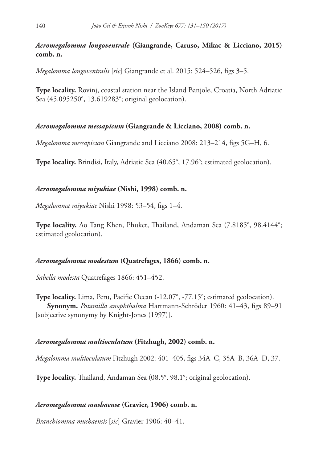*Acromegalomma longoventrale* **(Giangrande, Caruso, Mikac & Licciano, 2015) comb. n.**

*Megalomma longoventralis* [*sic*] Giangrande et al. 2015: 524–526, figs 3–5.

**Type locality.** Rovinj, coastal station near the Island Banjole, Croatia, North Adriatic Sea (45.095250°, 13.619283°; original geolocation).

## *Acromegalomma messapicum* **(Giangrande & Licciano, 2008) comb. n.**

*Megalomma messapicum* Giangrande and Licciano 2008: 213–214, figs 5G–H, 6.

**Type locality.** Brindisi, Italy, Adriatic Sea (40.65°, 17.96°; estimated geolocation).

## *Acromegalomma miyukiae* **(Nishi, 1998) comb. n.**

*Megalomma miyukiae* Nishi 1998: 53–54, figs 1–4.

**Type locality.** Ao Tang Khen, Phuket, Thailand, Andaman Sea (7.8185°, 98.4144°; estimated geolocation).

## *Acromegalomma modestum* **(Quatrefages, 1866) comb. n.**

*Sabella modesta* Quatrefages 1866: 451–452.

**Type locality.** Lima, Peru, Pacific Ocean (-12.07°, -77.15°; estimated geolocation). **Synonym.** *Potamilla anophthalma* Hartmann-Schröder 1960: 41–43, figs 89–91 [subjective synonymy by Knight-Jones (1997)].

## *Acromegalomma multioculatum* **(Fitzhugh, 2002) comb. n.**

*Megalomma multioculatum* Fitzhugh 2002: 401–405, figs 34A–C, 35A–B, 36A–D, 37.

**Type locality.** Thailand, Andaman Sea (08.5°, 98.1°; original geolocation).

## *Acromegalomma mushaense* **(Gravier, 1906) comb. n.**

*Branchiomma mushaensis* [*sic*] Gravier 1906: 40–41.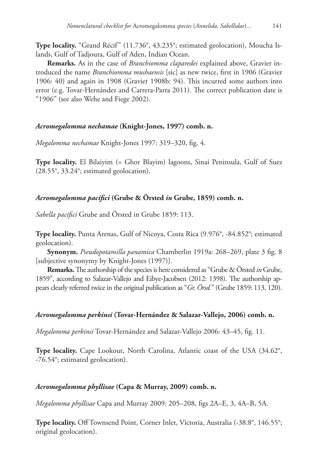**Type locality.** "Grand Récif" (11.736°, 43.235°; estimated geolocation), Moucha Islands, Gulf of Tadjoura, Gulf of Aden, Indian Ocean.

**Remarks.** As in the case of *Branchiomma claparedei* explained above, Gravier introduced the name *Branchiomma mushaensis* [sic] as new twice, first in 1906 (Gravier 1906: 40) and again in 1908 (Gravier 1908b: 94). This incurred some authors into error (e.g. Tovar-Hernández and Carrera-Parra 2011). The correct publication date is "1906" (see also Wehe and Fiege 2002).

## *Acromegalomma nechamae* **(Knight-Jones, 1997) comb. n.**

*Megalomma nechamae* Knight-Jones 1997: 319–320, fig. 4.

**Type locality.** El Bilaiyim (= Ghor Blayim) lagoons, Sinai Peninsula, Gulf of Suez (28.55°, 33.24°; estimated geolocation).

## *Acromegalomma pacifici* **(Grube & Örsted** *in* **Grube, 1859) comb. n.**

*Sabella pacifici* Grube and Örsted in Grube 1859: 113.

**Type locality.** Punta Arenas, Gulf of Nicoya, Costa Rica (9.976°, -84.852°; estimated geolocation).

**Synonym.** *Pseudopotamilla panamica* Chamberlin 1919a: 268–269, plate 3 fig. 8 [subjective synonymy by Knight-Jones (1997)].

**Remarks.** The authorship of the species is here considered as "Grube & Örsted *in* Grube, 1859", according to Salazar-Vallejo and Eibye-Jacobsen (2012: 1398). The authorship appears clearly referred twice in the original publication as "*Gr. Örsd.*" (Grube 1859: 113, 120).

## *Acromegalomma perkinsi* **(Tovar-Hernández & Salazar-Vallejo, 2006) comb. n.**

*Megalomma perkinsi* Tovar-Hernández and Salazar-Vallejo 2006: 43–45, fig. 11.

**Type locality.** Cape Lookout, North Carolina, Atlantic coast of the USA (34.62°, -76.54°; estimated geolocation).

## *Acromegalomma phyllisae* **(Capa & Murray, 2009) comb. n.**

*Megalomma phyllisae* Capa and Murray 2009: 205–208, figs 2A–E, 3, 4A–B, 5A.

**Type locality.** Off Townsend Point, Corner Inlet, Victoria, Australia (-38.8°, 146.55°; original geolocation).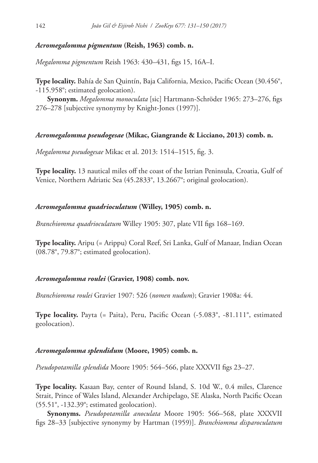### *Acromegalomma pigmentum* **(Reish, 1963) comb. n.**

*Megalomma pigmentum* Reish 1963: 430–431, figs 15, 16A–I.

**Type locality.** Bahía de San Quintín, Baja California, Mexico, Pacific Ocean (30.456°, -115.958°; estimated geolocation).

**Synonym.** *Megalomma monoculata* [sic] Hartmann-Schröder 1965: 273–276, figs 276–278 [subjective synonymy by Knight-Jones (1997)].

#### *Acromegalomma pseudogesae* **(Mikac, Giangrande & Licciano, 2013) comb. n.**

*Megalomma pseudogesae* Mikac et al. 2013: 1514–1515, fig. 3.

**Type locality.** 13 nautical miles off the coast of the Istrian Peninsula, Croatia, Gulf of Venice, Northern Adriatic Sea (45.2833°, 13.2667°; original geolocation).

### *Acromegalomma quadrioculatum* **(Willey, 1905) comb. n.**

*Branchiomma quadrioculatum* Willey 1905: 307, plate VII figs 168–169.

**Type locality.** Aripu (= Arippu) Coral Reef, Sri Lanka, Gulf of Manaar, Indian Ocean (08.78°, 79.87°; estimated geolocation).

#### *Acromegalomma roulei* **(Gravier, 1908) comb. nov.**

*Branchiomma roulei* Gravier 1907: 526 (*nomen nudum*); Gravier 1908a: 44.

**Type locality.** Payta (= Paita), Peru, Pacific Ocean (-5.083°, -81.111°, estimated geolocation).

#### *Acromegalomma splendidum* **(Moore, 1905) comb. n.**

*Pseudopotamilla splendida* Moore 1905: 564–566, plate XXXVII figs 23–27.

**Type locality.** Kasaan Bay, center of Round Island, S. 10d W., 0.4 miles, Clarence Strait, Prince of Wales Island, Alexander Archipelago, SE Alaska, North Pacific Ocean (55.51°, -132.39°; estimated geolocation).

**Synonyms.** *Pseudopotamilla anoculata* Moore 1905: 566–568, plate XXXVII figs 28–33 [subjective synonymy by Hartman (1959)]. *Branchiomma disparoculatum*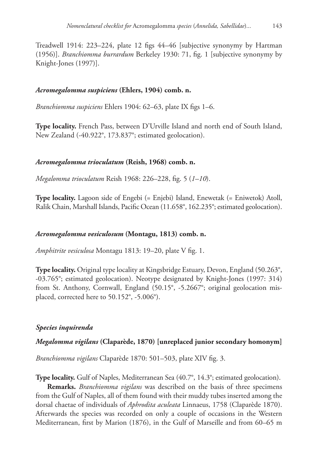Treadwell 1914: 223–224, plate 12 figs 44–46 [subjective synonymy by Hartman (1956)]. *Branchiomma burrardum* Berkeley 1930: 71, fig. 1 [subjective synonymy by Knight-Jones (1997)].

## *Acromegalomma suspiciens* **(Ehlers, 1904) comb. n.**

*Branchiomma suspiciens* Ehlers 1904: 62–63, plate IX figs 1–6.

**Type locality.** French Pass, between D'Urville Island and north end of South Island, New Zealand (-40.922°, 173.837°; estimated geolocation).

## *Acromegalomma trioculatum* **(Reish, 1968) comb. n.**

*Megalomma trioculatum* Reish 1968: 226–228, fig. 5 (*1–10*).

**Type locality.** Lagoon side of Engebi (= Enjebi) Island, Enewetak (= Eniwetok) Atoll, Ralik Chain, Marshall Islands, Pacific Ocean (11.658°, 162.235°; estimated geolocation).

## *Acromegalomma vesiculosum* **(Montagu, 1813) comb. n.**

*Amphitrite vesiculosa* Montagu 1813: 19–20, plate V fig. 1.

**Type locality.** Original type locality at Kingsbridge Estuary, Devon, England (50.263°, -03.765°; estimated geolocation). Neotype designated by Knight-Jones (1997: 314) from St. Anthony, Cornwall, England (50.15°, -5.2667°; original geolocation misplaced, corrected here to 50.152°, -5.006°).

## *Species inquirenda*

## *Megalomma vigilans* **(Claparède, 1870) [unreplaced junior secondary homonym]**

*Branchiomma vigilans* Claparède 1870: 501–503, plate XIV fig. 3.

**Type locality.** Gulf of Naples, Mediterranean Sea (40.7°, 14.3°; estimated geolocation).

**Remarks.** *Branchiomma vigilans* was described on the basis of three specimens from the Gulf of Naples, all of them found with their muddy tubes inserted among the dorsal chaetae of individuals of *Aphrodita aculeata* Linnaeus, 1758 (Claparède 1870). Afterwards the species was recorded on only a couple of occasions in the Western Mediterranean, first by Marion (1876), in the Gulf of Marseille and from 60–65 m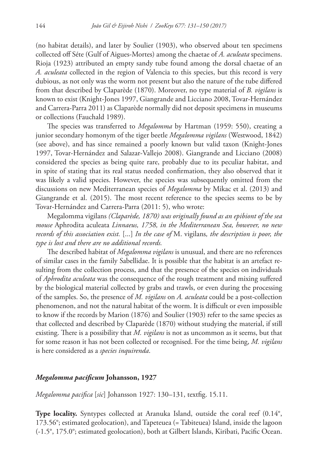(no habitat details), and later by Soulier (1903), who observed about ten specimens collected off Séte (Gulf of Aigues-Mortes) among the chaetae of *A. aculeata* specimens. Rioja (1923) attributed an empty sandy tube found among the dorsal chaetae of an *A. aculeata* collected in the region of Valencia to this species, but this record is very dubious, as not only was the worm not present but also the nature of the tube differed from that described by Claparède (1870). Moreover, no type material of *B. vigilans* is known to exist (Knight-Jones 1997, Giangrande and Licciano 2008, Tovar-Hernández and Carrera-Parra 2011) as Claparède normally did not deposit specimens in museums or collections (Fauchald 1989).

The species was transferred to *Megalomma* by Hartman (1959: 550), creating a junior secondary homonym of the tiger beetle *Megalomma vigilans* (Westwood, 1842) (see above), and has since remained a poorly known but valid taxon (Knight-Jones 1997, Tovar-Hernández and Salazar-Vallejo 2008). Giangrande and Licciano (2008) considered the species as being quite rare, probably due to its peculiar habitat, and in spite of stating that its real status needed confirmation, they also observed that it was likely a valid species. However, the species was subsequently omitted from the discussions on new Mediterranean species of *Megalomma* by Mikac et al. (2013) and Giangrande et al. (2015). The most recent reference to the species seems to be by Tovar-Hernández and Carrera-Parra (2011: 5), who wrote:

Megalomma vigilans *(Claparède, 1870) was originally found as an epibiont of the sea mouse* Aphrodita aculeata *Linnaeus, 1758, in the Mediterranean Sea, however, no new records of this association exist.* [...] *In the case of* M. vigilans*, the description is poor, the type is lost and there are no additional records.*

The described habitat of *Megalomma vigilans* is unusual, and there are no references of similar cases in the family Sabellidae. It is possible that the habitat is an artefact resulting from the collection process, and that the presence of the species on individuals of *Aphrodita aculeata* was the consequence of the rough treatment and mixing suffered by the biological material collected by grabs and trawls, or even during the processing of the samples. So, the presence of *M. vigilans* on *A. aculeata* could be a post-collection phenomenon, and not the natural habitat of the worm. It is difficult or even impossible to know if the records by Marion (1876) and Soulier (1903) refer to the same species as that collected and described by Claparède (1870) without studying the material, if still existing. There is a possibility that *M. vigilans* is not as uncommon as it seems, but that for some reason it has not been collected or recognised. For the time being, *M. vigilans* is here considered as a *species inquirenda*.

### *Megalomma pacificum* **Johansson, 1927**

*Megalomma pacifica* [*sic*] Johansson 1927: 130–131, textfig. 15.11.

**Type locality.** Syntypes collected at Aranuka Island, outside the coral reef (0.14°, 173.56°; estimated geolocation), and Tapeteuea (= Tabiteuea) Island, inside the lagoon (-1.5°, 175.0°; estimated geolocation), both at Gilbert Islands, Kiribati, Pacific Ocean.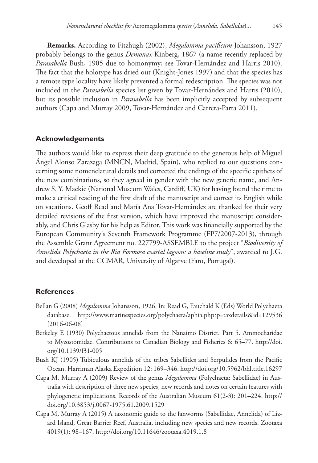**Remarks.** According to Fitzhugh (2002), *Megalomma pacificum* Johansson, 1927 probably belongs to the genus *Demonax* Kinberg, 1867 (a name recently replaced by *Parasabella* Bush, 1905 due to homonymy; see Tovar-Hernández and Harris 2010). The fact that the holotype has dried out (Knight-Jones 1997) and that the species has a remote type locality have likely prevented a formal redescription. The species was not included in the *Parasabella* species list given by Tovar-Hernández and Harris (2010), but its possible inclusion in *Parasabella* has been implicitly accepted by subsequent authors (Capa and Murray 2009, Tovar-Hernández and Carrera-Parra 2011).

#### **Acknowledgements**

The authors would like to express their deep gratitude to the generous help of Miguel Ángel Alonso Zarazaga (MNCN, Madrid, Spain), who replied to our questions concerning some nomenclatural details and corrected the endings of the specific epithets of the new combinations, so they agreed in gender with the new generic name, and Andrew S. Y. Mackie (National Museum Wales, Cardiff, UK) for having found the time to make a critical reading of the first draft of the manuscript and correct its English while on vacations. Geoff Read and María Ana Tovar-Hernández are thanked for their very detailed revisions of the first version, which have improved the manuscript considerably, and Chris Glasby for his help as Editor. This work was financially supported by the European Community's Seventh Framework Programme (FP7/2007-2013), through the Assemble Grant Agreement no. 227799-ASSEMBLE to the project "*Biodiversity of Annelida Polychaeta in the Ria Formosa coastal lagoon: a baseline study*", awarded to J.G. and developed at the CCMAR, University of Algarve (Faro, Portugal).

### **References**

- Bellan G (2008) *Megalomma* Johansson, 1926. In: Read G, Fauchald K (Eds) World Polychaeta database. <http://www.marinespecies.org/polychaeta/aphia.php?p=taxdetails&id=129536> [2016-06-08]
- Berkeley E (1930) Polychaetous annelids from the Nanaimo District. Part 5. Ammocharidae to Myzostomidae. Contributions to Canadian Biology and Fisheries 6: 65–77. [http://doi.](http://doi.org/10.1139/f31-005) [org/10.1139/f31-005](http://doi.org/10.1139/f31-005)
- Bush KJ (1905) Tubiculous annelids of the tribes Sabellides and Serpulides from the Pacific Ocean. Harriman Alaska Expedition 12: 169–346.<http://doi.org/10.5962/bhl.title.16297>
- Capa M, Murray A (2009) Review of the genus *Megalomma* (Polychaeta: Sabellidae) in Australia with description of three new species, new records and notes on certain features with phylogenetic implications. Records of the Australian Museum 61(2-3): 201–224. [http://](http://doi.org/10.3853/j.0067-1975.61.2009.1529) [doi.org/10.3853/j.0067-1975.61.2009.1529](http://doi.org/10.3853/j.0067-1975.61.2009.1529)
- Capa M, Murray A (2015) A taxonomic guide to the fanworms (Sabellidae, Annelida) of Lizard Island, Great Barrier Reef, Australia, including new species and new records. Zootaxa 4019(1): 98–167. <http://doi.org/10.11646/zootaxa.4019.1.8>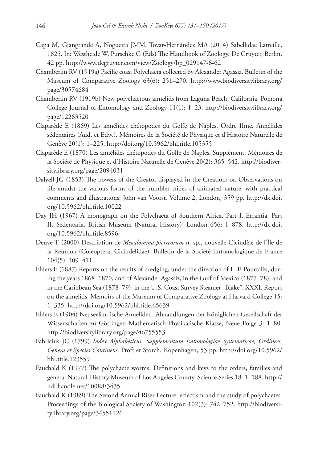- Capa M, Giangrande A, Nogueira JMM, Tovar-Hernández MA (2014) Sabellidae Latreille, 1825. In: Westheide W, Purschke G (Eds) The Handbook of Zoology. De Gruyter, Berlin, 42 pp. [http://www.degruyter.com/view/Zoology/bp\\_029147-6-62](http://www.degruyter.com/view/Zoology/bp_029147-6-62)
- Chamberlin RV (1919a) Pacific coast Polychaeta collected by Alexander Agassiz. Bulletin of the Museum of Comparative Zoology 63(6): 251–270. [http://www.biodiversitylibrary.org/](http://www.biodiversitylibrary.org/page/30574684) [page/30574684](http://www.biodiversitylibrary.org/page/30574684)
- Chamberlin RV (1919b) New polychaetous annelids from Laguna Beach, California. Pomona College Journal of Entomology and Zoology 11(1): 1–23. [http://biodiversitylibrary.org/](http://biodiversitylibrary.org/page/12263520) [page/12263520](http://biodiversitylibrary.org/page/12263520)
- Claparède E (1869) Les annélides chétopodes du Golfe de Naples. Ordre IIme. Annélides sédentaires (Aud. et Edw.). Mémoires de la Société de Physique et d'Histoire Naturelle de Genève 20(1): 1–225.<http://doi.org/10.5962/bhl.title.105355>
- Claparède E (1870) Les annélides chétopodes du Golfe de Naples. Supplément. Mémoires de la Société de Physique et d'Histoire Naturelle de Genève 20(2): 365–542. [http://biodiver](http://biodiversitylibrary.org/page/2094031)[sitylibrary.org/page/2094031](http://biodiversitylibrary.org/page/2094031)
- Dalyell JG (1853) The powers of the Creator displayed in the Creation; or, Observations on life amidst the various forms of the humbler tribes of animated nature: with practical comments and illustrations. John van Voorst, Volume 2, London, 359 pp. [http://dx.doi.](http://dx.doi.org/10.5962/bhl.title.10022) [org/10.5962/bhl.title.10022](http://dx.doi.org/10.5962/bhl.title.10022)
- Day JH (1967) A monograph on the Polychaeta of Southern Africa. Part I. Errantia. Part II. Sedentaria. British Museum (Natural History), London 656: 1–878. [http://dx.doi.](http://dx.doi.org/10.5962/bhl.title.8596) [org/10.5962/bhl.title.8596](http://dx.doi.org/10.5962/bhl.title.8596)
- Deuve T (2000) Description de *Megalomma pierreorum* n. sp., nouvelle Cicindèle de l'Île de la Réunion (Coleoptera, Cicindelidae). Bulletin de la Société Entomologique de France 104(5): 409–411.
- Ehlers E (1887) Reports on the results of dredging, under the direction of L. F. Pourtalès, during the years 1868–1870, and of Alexander Agassiz, in the Gulf of Mexico (1877–78), and in the Caribbean Sea (1878–79), in the U.S. Coast Survey Steamer "Blake". XXXI. Report on the annelids. Memoirs of the Museum of Comparative Zoology at Harvard College 15: 1–335.<http://doi.org/10.5962/bhl.title.65639>
- Ehlers E (1904) Neuseeländische Anneliden. Abhandlungen der Königlichen Gesellschaft der Wissenschaften zu Göttingen Mathematisch-Physikalische Klasse, Neue Folge 3: 1–80. <http://biodiversitylibrary.org/page/46755553>
- Fabricius JC (1799) *Index Alphabeticus. Supplementum Entomologiae Systematicae, Ordinees, Genera et Species Continens*. Proft et Storch, Kopenhagen, 53 pp. [http://doi.org/10.5962/](http://doi.org/10.5962/bhl.title.123559) [bhl.title.123559](http://doi.org/10.5962/bhl.title.123559)
- Fauchald K (1977) The polychaete worms. Definitions and keys to the orders, families and genera. Natural History Museum of Los Angeles County, Science Series 18: 1–188. [http://](http://hdl.handle.net/10088/3435) [hdl.handle.net/10088/3435](http://hdl.handle.net/10088/3435)
- Fauchald K (1989) The Second Annual Riser Lecture: eclectism and the study of polychaetes. Proceedings of the Biological Society of Washington 102(3): 742–752. [http://biodiversi](http://biodiversitylibrary.org/page/34551126)[tylibrary.org/page/34551126](http://biodiversitylibrary.org/page/34551126)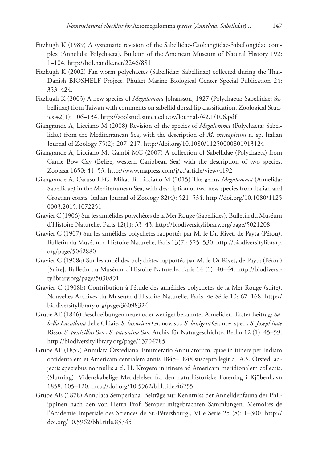- Fitzhugh K (1989) A systematic revision of the Sabellidae-Caobangiidae-Sabellongidae complex (Annelida: Polychaeta). Bulletin of the American Museum of Natural History 192: 1–104.<http://hdl.handle.net/2246/881>
- Fitzhugh K (2002) Fan worm polychaetes (Sabellidae: Sabellinae) collected during the Thai-Danish BIOSHELF Project. Phuket Marine Biological Center Special Publication 24: 353–424.
- Fitzhugh K (2003) A new species of *Megalomma* Johansson, 1927 (Polychaeta: Sabellidae: Sabellinae) from Taiwan with comments on sabellid dorsal lip classification. Zoological Studies 42(1): 106–134.<http://zoolstud.sinica.edu.tw/Journals/42.1/106.pdf>
- Giangrande A, Licciano M (2008) Revision of the species of *Megalomma* (Polychaeta: Sabellidae) from the Mediterranean Sea, with the description of *M. messapicum* n. sp. Italian Journal of Zoology 75(2): 207–217.<http://doi.org/10.1080/11250000801913124>
- Giangrande A, Licciano M, Gambi MC (2007) A collection of Sabellidae (Polychaeta) from Carrie Bow Cay (Belize, western Caribbean Sea) with the description of two species. Zootaxa 1650: 41–53.<http://www.mapress.com/j/zt/article/view/4192>
- Giangrande A, Caruso LPG, Mikac B, Licciano M (2015) The genus *Megalomma* (Annelida: Sabellidae) in the Mediterranean Sea, with description of two new species from Italian and Croatian coasts. Italian Journal of Zoology 82(4): 521–534. [http://doi.org/10.1080/1125](http://doi.org/10.1080/11250003.2015.1072251) [0003.2015.1072251](http://doi.org/10.1080/11250003.2015.1072251)
- Gravier C (1906) Sur les annélides polychètes de la Mer Rouge (Sabellides). Bulletin du Muséum d'Histoire Naturelle, Paris 12(1): 33–43. <http://biodiversitylibrary.org/page/5021208>
- Gravier C (1907) Sur les annélides polychètes rapportés par M. le Dr. Rivet, de Payta (Pérou). Bulletin du Muséum d'Histoire Naturelle, Paris 13(7): 525–530. [http://biodiversitylibrary.](http://biodiversitylibrary.org/page/5042880) [org/page/5042880](http://biodiversitylibrary.org/page/5042880)
- Gravier C (1908a) Sur les annélides polychètes rapportés par M. le Dr Rivet, de Payta (Pérou) [Suite]. Bulletin du Muséum d'Histoire Naturelle, Paris 14 (1): 40–44. [http://biodiversi](http://biodiversitylibrary.org/page/5030891)[tylibrary.org/page/5030891](http://biodiversitylibrary.org/page/5030891)
- Gravier C (1908b) Contribution à l'étude des annélides polychètes de la Mer Rouge (suite). Nouvelles Archives du Muséum d'Histoire Naturelle, Paris, 4e Série 10: 67–168. [http://](http://biodiversitylibrary.org/page/36098324) [biodiversitylibrary.org/page/36098324](http://biodiversitylibrary.org/page/36098324)
- Grube AE (1846) Beschreibungen neuer oder weniger bekannter Anneliden. Erster Beitrag: *Sabella Lucullana* delle Chiaie, *S. luxuriosa* Gr. nov. sp., *S. lanigera* Gr. nov. spec., *S. Josephinae*  Risso, *S. penicillus* Sav., *S. pavonina* Sav. Archiv für Naturgeschichte, Berlin 12 (1): 45–59. <http://biodiversitylibrary.org/page/13704785>
- Grube AE (1859) Annulata Örstediana. Enumeratio Annulatorum, quae in itinere per Indiam occidentalem et Americam centralem annis 1845–1848 suscepto legit cl. A.S. Örsted, adjectis speciebus nonnullis a cl. H. Kröyero in itinere ad Americam meridionalem collectis. (Slutning). Videnskabelige Meddelelser fra den naturhistoriske Forening i Kjöbenhavn 1858: 105–120.<http://doi.org/10.5962/bhl.title.46255>
- Grube AE (1878) Annulata Semperiana. Beiträge zur Kenntniss der Annelidenfauna der Philippinen nach den von Herrn Prof. Semper mitgebrachten Sammlungen. Mémoires de l'Académie Impériale des Sciences de St.-Pétersbourg., VIIe Série 25 (8): 1–300. [http://](http://doi.org/10.5962/bhl.title.85345) [doi.org/10.5962/bhl.title.85345](http://doi.org/10.5962/bhl.title.85345)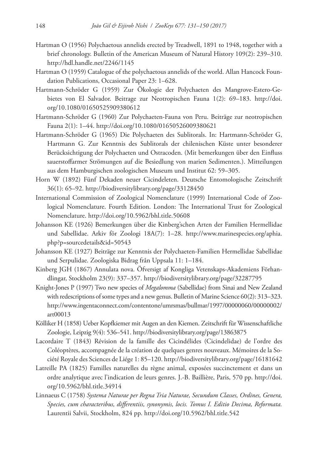- Hartman O (1956) Polychaetous annelids erected by Treadwell, 1891 to 1948, together with a brief chronology. Bulletin of the American Museum of Natural History 109(2): 239–310. <http://hdl.handle.net/2246/1145>
- Hartman O (1959) Catalogue of the polychaetous annelids of the world. Allan Hancock Foundation Publications, Occasional Paper 23: 1–628.
- Hartmann-Schröder G (1959) Zur Ökologie der Polychaeten des Mangrove‐Estero‐Gebietes von El Salvador. Beitrage zur Neotropischen Fauna 1(2): 69–183. [http://doi.](http://doi.org/10.1080/01650525909380612) [org/10.1080/01650525909380612](http://doi.org/10.1080/01650525909380612)
- Hartmann-Schröder G (1960) Zur Polychaeten-Fauna von Peru. Beiträge zur neotropischen Fauna 2(1): 1–44. <http://doi.org/10.1080/01650526009380621>
- Hartmann-Schröder G (1965) Die Polychaeten des Sublitorals. In: Hartmann-Schröder G, Hartmann G. Zur Kenntnis des Sublitorals der chilenischen Küste unter besonderer Berücksichtigung der Polychaeten und Ostracoden. (Mit bemerkungen über den Einfluss sauerstoffarmer Strömungen auf die Besiedlung von marien Sedimenten.). Mitteilungen aus dem Hamburgischen zoologischen Museum und Institut 62: 59–305.
- Horn W (1892) Fünf Dekaden neuer Cicindeleten. Deutsche Entomologische Zeitschrift 36(1): 65–92. <http://biodiversitylibrary.org/page/33128450>
- International Commission of Zoological Nomenclature (1999) International Code of Zoological Nomenclature. Fourth Edition. London: The International Trust for Zoological Nomenclature. <http://doi.org/10.5962/bhl.title.50608>
- Johansson KE (1926) Bemerkungen über die Kinberg'schen Arten der Familien Hermellidae und Sabellidae. Arkiv för Zoologi 18A(7): 1–28. [http://www.marinespecies.org/aphia.](http://www.marinespecies.org/aphia.php?p=sourcedetails&id=50543) [php?p=sourcedetails&id=50543](http://www.marinespecies.org/aphia.php?p=sourcedetails&id=50543)
- Johansson KE (1927) Beiträge zur Kenntnis der Polychaeten-Familien Hermellidae Sabellidae und Serpulidae. Zoologiska Bidrag från Uppsala 11: 1–184.
- Kinberg JGH (1867) Annulata nova. Öfversigt af Kongliga Vetenskaps-Akademiens Förhandlingar, Stockholm 23(9): 337–357. <http://biodiversitylibrary.org/page/32287795>
- Knight-Jones P (1997) Two new species of *Megalomma* (Sabellidae) from Sinai and New Zealand with redescriptions of some types and a new genus. Bulletin of Marine Science 60(2): 313–323. [http://www.ingentaconnect.com/contentone/umrsmas/bullmar/1997/00000060/00000002/](http://www.ingentaconnect.com/contentone/umrsmas/bullmar/1997/00000060/00000002/art00013) [art00013](http://www.ingentaconnect.com/contentone/umrsmas/bullmar/1997/00000060/00000002/art00013)
- Kölliker H (1858) Ueber Kopfkiemer mit Augen an den Kiemen. Zeitschrift für Wissenschaftliche Zoologie, Leipzig 9(4): 536–541. <http://biodiversitylibrary.org/page/13863875>
- Lacordaire T (1843) Révision de la famille des Cicindélides (Cicindelidae) de l'ordre des Coléoptères, accompagnée de la création de quelques genres nouveaux. Mémoires de la Société Royale des Sciences de Liége 1: 85–120.<http://biodiversitylibrary.org/page/16181642>
- Latreille PA (1825) Familles naturelles du règne animal, exposées succinctement et dans un ordre analytique avec l'indication de leurs genres. J.-B. Baillière, Paris, 570 pp. [http://doi.](http://doi.org/10.5962/bhl.title.34914) [org/10.5962/bhl.title.34914](http://doi.org/10.5962/bhl.title.34914)
- Linnaeus C (1758) *Systema Naturae per Regna Tria Naturae, Secundum Classes, Ordines, Genera, Species, cum characteribus, differentiis, synonymis, locis. Tomus I. Editio Decima, Reformata.*  Laurentii Salvii, Stockholm, 824 pp.<http://doi.org/10.5962/bhl.title.542>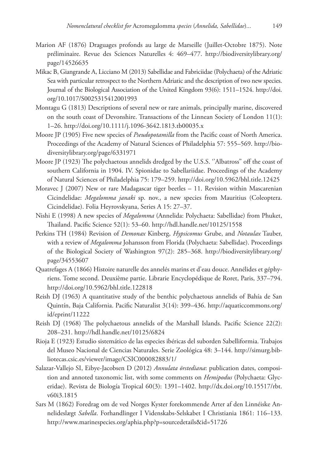- Marion AF (1876) Draguages profonds au large de Marseille (Juillet-Octobre 1875). Note préliminaire. Revue des Sciences Naturelles 4: 469–477. [http://biodiversitylibrary.org/](http://biodiversitylibrary.org/page/14526635) [page/14526635](http://biodiversitylibrary.org/page/14526635)
- Mikac B, Giangrande A, Licciano M (2013) Sabellidae and Fabriciidae (Polychaeta) of the Adriatic Sea with particular retrospect to the Northern Adriatic and the description of two new species. Journal of the Biological Association of the United Kingdom 93(6): 1511–1524. [http://doi.](http://doi.org/10.1017/S0025315412001993) [org/10.1017/S0025315412001993](http://doi.org/10.1017/S0025315412001993)
- Montagu G (1813) Descriptions of several new or rare animals, principally marine, discovered on the south coast of Devonshire. Transactions of the Linnean Society of London 11(1): 1–26.<http://doi.org/10.1111/j.1096-3642.1813.tb00035.x>
- Moore JP (1905) Five new species of *Pseudopotamilla* from the Pacific coast of North America. Proceedings of the Academy of Natural Sciences of Philadelphia 57: 555–569. [http://bio](http://biodiversitylibrary.org/page/6331971)[diversitylibrary.org/page/6331971](http://biodiversitylibrary.org/page/6331971)
- Moore JP (1923) The polychaetous annelids dredged by the U.S.S. ''Albatross'' off the coast of southern California in 1904. IV. Spionidae to Sabellariidae. Proceedings of the Academy of Natural Sciences of Philadelphia 75: 179–259. <http://doi.org/10.5962/bhl.title.12425>
- Moravec J (2007) New or rare Madagascar tiger beetles 11. Revision within Mascarenian Cicindelidae: *Megalomma janaki* sp. nov., a new species from Mauritius (Coleoptera. Cicindelidae). Folia Heyrovskyana, Series A 15: 27–37.
- Nishi E (1998) A new species of *Megalomma* (Annelida: Polychaeta: Sabellidae) from Phuket, Thailand. Pacific Science 52(1): 53–60.<http://hdl.handle.net/10125/1558>
- Perkins TH (1984) Revision of *Demonax* Kinberg, *Hypsicomus* Grube, and *Notaulax* Tauber, with a review of *Megalomma* Johansson from Florida (Polychaeta: Sabellidae). Proceedings of the Biological Society of Washington 97(2): 285–368. [http://biodiversitylibrary.org/](http://biodiversitylibrary.org/page/34553607) [page/34553607](http://biodiversitylibrary.org/page/34553607)
- Quatrefages A (1866) Histoire naturelle des annelés marins et d'eau douce. Annélides et géphyriens. Tome second. Deuxième partie. Librarie Encyclopédique de Roret, Paris, 337–794. <http://doi.org/10.5962/bhl.title.122818>
- Reish DJ (1963) A quantitative study of the benthic polychaetous annelids of Bahía de San Quintín, Baja California. Pacific Naturalist 3(14): 399–436. [http://aquaticcommons.org/](http://aquaticcommons.org/id/eprint/11222) [id/eprint/11222](http://aquaticcommons.org/id/eprint/11222)
- Reish DJ (1968) The polychaetous annelids of the Marshall Islands. Pacific Science 22(2): 208–231.<http://hdl.handle.net/10125/6824>
- Rioja E (1923) Estudio sistemático de las especies ibéricas del suborden Sabelliformia. Trabajos del Museo Nacional de Ciencias Naturales. Serie Zoológica 48: 3–144. [http://simurg.bib](http://simurg.bibliotecas.csic.es/viewer/image/CSIC000082883/1/)[liotecas.csic.es/viewer/image/CSIC000082883/1/](http://simurg.bibliotecas.csic.es/viewer/image/CSIC000082883/1/)
- Salazar-Vallejo SI, Eibye-Jacobsen D (2012) *Annulata örstediana*: publication dates, composition and annoted taxonomic list, with some comments on *Hemipodus* (Polychaeta: Glyceridae). Revista de Biología Tropical 60(3): 1391–1402. [http://dx.doi.org/10.15517/rbt.](http://dx.doi.org/10.15517/rbt.v60i3.1815) [v60i3.1815](http://dx.doi.org/10.15517/rbt.v60i3.1815)
- Sars M (1862) Foredrag om de ved Norges Kyster forekommende Arter af den Linnéiske Annelideslægt *Sabella*. Forhandlinger I Videnskabs-Selskabet I Christiania 1861: 116–133. <http://www.marinespecies.org/aphia.php?p=sourcedetails&id=51726>